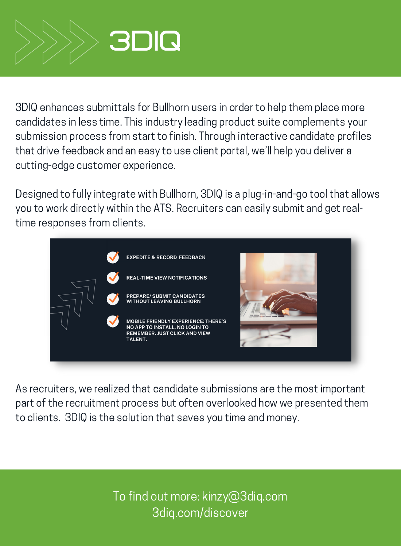

3DIQ enhances submittals for Bullhorn users in order to help them place more candidates in less time. This industry leading product suite complements your submission process from start to finish. Through interactive candidate profiles that drive feedback and an easy to use client portal, we'll help you deliver a cutting-edge customer experience.

Designed to fully integrate with Bullhorn, 3DIQ is a plug-in-and-go tool that allows you to work directly within the ATS. Recruiters can easily submit and get realtime responses from clients.



As recruiters, we realized that candidate submissions are the most important part of the recruitment process but often overlooked how we presented them to clients. 3DIQ is the solution that saves you time and money.

> To find out more: kinzy@3diq.com 3diq.com/discover